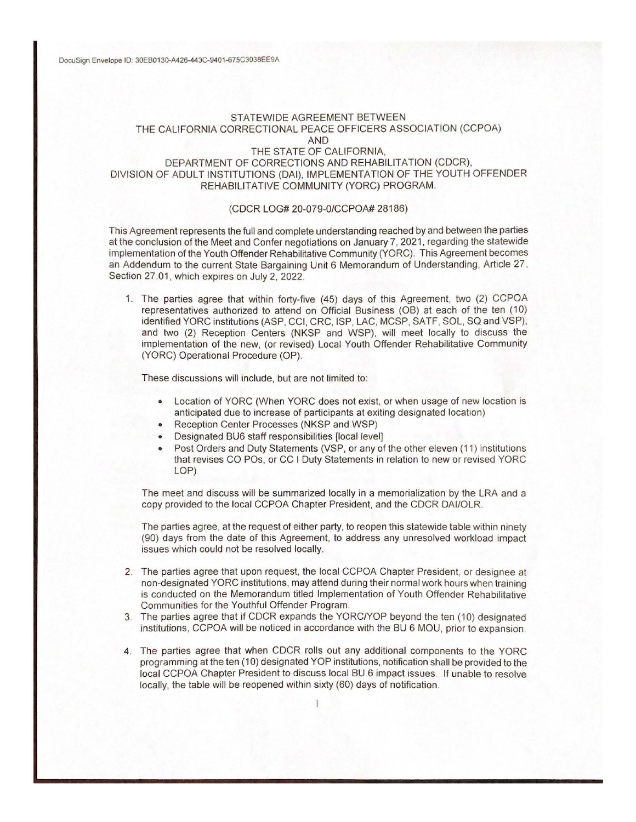### STATEWIDE AGREEMENT BETWEEN THE CALIFORNIA CORRECTIONAL PEACE OFFICERS ASSOCIATION (CCPOA) AND THE STATE OF CALIFORNIA, DEPARTMENT OF CORRECTIONS AND REHABILITATION (CDCR),

# DIVISION OF ADULT INSTITUTIONS (DAI), IMPLEMENTATION OF THE YOUTH OFFENDER REHABILITATIVE COMMUNITY (YORC) PROGRAM.

#### (CDCR LOG# 20-079-0/CCPOA# 28186)

This Agreement represents the full and complete understanding reached by and between the parties at the conclusion of the Meet and Confer negotiations on January 7, 2021, regarding the statewide implementation of the Youth Offender Rehabilitative Community (YORC). This Agreement becomes an Addendum to the current State Bargaining Unit 6 Memorandum of Understanding, Article 27 , Section 27.01, which expires on July 2, 2022.

1. The parties agree that within forty-five (45) days of this Agreement, two (2) CCPOA representatives authorized to attend on Official Business (OB) at each of the ten (10) identified YORC institutions (ASP, CCI, CRC, ISP, LAC, MCSP, SATF, SOL, SQ and VSP), and two (2) Reception Centers (NKSP and WSP), will meet locally to discuss the implementation of the new, (or revised) Local Youth Offender Rehabilitative Community (YORC) Operational Procedure (OP).

These discussions will include, but are not limited to:

- Location of YORC (When YORC does not exist, or when usage of new location is anticipated due to increase of participants at exiting designated location)
- Reception Center Processes (NKSP and WSP)
- **Designated BU6 staff responsibilities [local level]**
- Post Orders and Duty Statements (VSP, or any of the other eleven (11) institutions that revises CO POs, or CC I Duty Statements in relation to new or revised YORC LOP)

The meet and discuss will be summarized locally in a memorialization by the LRA and a copy provided to the local CCPOA Chapter President, and the CDCR DAI/OLR.

The parties agree, at the request of either party, to reopen this statewide table within ninety (90) days from the date of this Agreement, to address any unresolved workload impact issues which could not be resolved locally.

- 2. The parties agree that upon request, the local CCPOA Chapter President, or designee at non-designated YORC institutions, may attend during their normal work hours when training is conducted on the Memorandum titled Implementation of Youth Offender Rehabilitative Communities for the Youthful Offender Program.
- 3. The parties agree that if CDCR expands the YORC/YOP beyond the ten (1 O) designated institutions, CCPOA will be noticed in accordance with the BU 6 MOU, prior to expansion.
- 4. The parties agree that when CDCR rolls out any additional components to the YORC programming at the ten (10) designated YOP institutions, notification shall be provided to the local CCPOA Chapter President to discuss local BU 6 impact issues. If unable to resolve locally, the table will be reopened within sixty (60) days of notification.